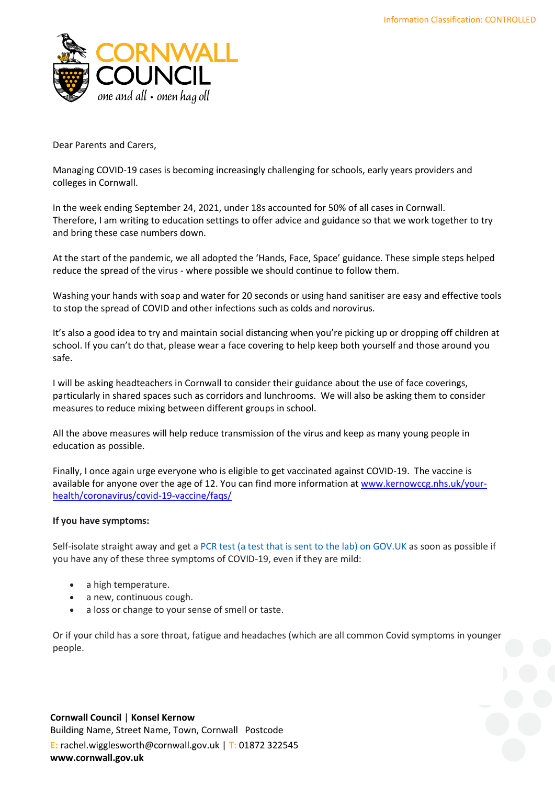

Dear Parents and Carers,

Managing COVID-19 cases is becoming increasingly challenging for schools, early years providers and colleges in Cornwall.

In the week ending September 24, 2021, under 18s accounted for 50% of all cases in Cornwall. Therefore, I am writing to education settings to offer advice and guidance so that we work together to try and bring these case numbers down.

At the start of the pandemic, we all adopted the 'Hands, Face, Space' guidance. These simple steps helped reduce the spread of the virus - where possible we should continue to follow them.

Washing your hands with soap and water for 20 seconds or using hand sanitiser are easy and effective tools to stop the spread of COVID and other infections such as colds and norovirus.

It's also a good idea to try and maintain social distancing when you're picking up or dropping off children at school. If you can't do that, please wear a face covering to help keep both yourself and those around you safe.

I will be asking headteachers in Cornwall to consider their guidance about the use of face coverings, particularly in shared spaces such as corridors and lunchrooms. We will also be asking them to consider measures to reduce mixing between different groups in school.

All the above measures will help reduce transmission of the virus and keep as many young people in education as possible.

Finally, I once again urge everyone who is eligible to get vaccinated against COVID-19. The vaccine is available for anyone over the age of 12. You can find more information at [www.kernowccg.nhs.uk/your](http://www.kernowccg.nhs.uk/your-health/coronavirus/covid-19-vaccine/faqs/)[health/coronavirus/covid-19-vaccine/faqs/](http://www.kernowccg.nhs.uk/your-health/coronavirus/covid-19-vaccine/faqs/)

## **If you have symptoms:**

Self-isolate straight away and get a [PCR test \(a test that is sent to the lab\) on GOV.UK](https://www.gov.uk/get-coronavirus-test) as soon as possible if you have any of these three symptoms of COVID-19, even if they are mild:

- a high temperature.
- a new, continuous cough.
- a loss or change to your sense of smell or taste.

Or if your child has a sore throat, fatigue and headaches (which are all common Covid symptoms in younger people.

## **Cornwall Council** | **Konsel Kernow**

Building Name, Street Name, Town, Cornwall Postcode **E:** rachel.wigglesworth@cornwall.gov.uk | T: 01872 322545 **www.cornwall.gov.uk**